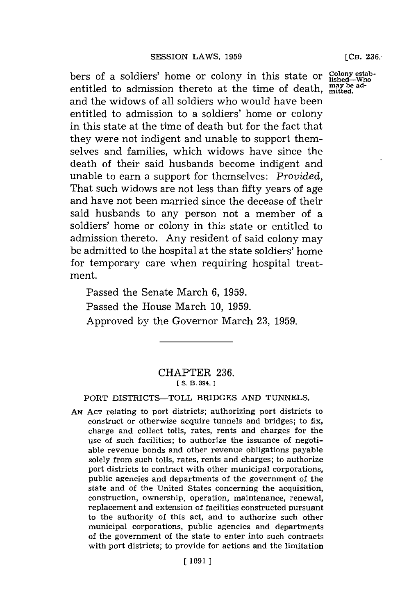bers of a soldiers' home or colony in this state or Colo entitled to admission thereto at the time of death, may be adand the widows of all soldiers who would have been entitled to admission to a soldiers' home or colony in this state at the time of death but for the fact that they were not indigent and unable to support themselves and families, which widows have since the death of their said husbands become indigent and unable to earn a support for themselves: *Provided,* That such widows are not less than fifty years of age and have not been married since the decease of their said husbands to any person not a member of a soldiers' home or colony in this state or entitled to admission thereto. Any resident of said colony may be admitted to the hospital at the state soldiers' home for temporary care when requiring hospital treatment.

Passed the Senate March **6, 1959.** Passed the House March **10, 1959.** Approved **by** the Governor March **23, 1959.**

## CHAPTER **236. [S. B. 394.]**

PORT DISTRICTS-TOLL BRIDGES **AND TUNNELS.**

**AN ACT** relating to port districts; authorizing port districts to construct or otherwise acquire tunnels and bridges; to fix, charge and collect tolls, rates, rents and charges for the use of such facilities; to authorize the issuance of negotiable revenue bonds and other revenue obligations payable solely from such tolls, rates, rents and charges; to authorize port districts to contract with other municipal corporations, public agencies and departments of the government of the state and of the United States concerning the acquisition, construction, ownership, operation, maintenance, renewal, replacement and extension of facilities constructed pursuant to the authority of this act, and to authorize such other municipal corporations, public agencies and departments of the government of the state to enter into such contracts with port districts; to provide for actions and the limitation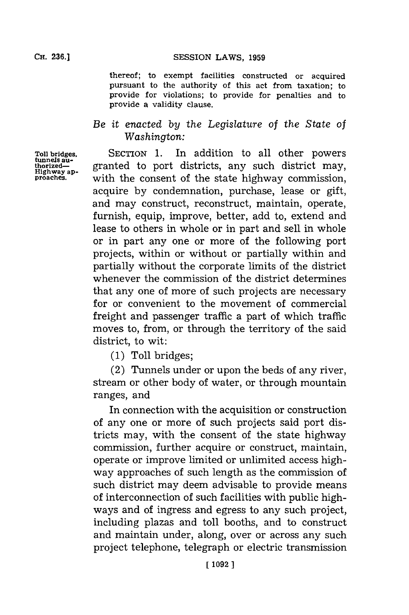**thereof; to exempt facilities constructed or acquired pursuant to the authority of this act from taxation; to provide for violations; to provide for penalties and to provide a validity clause.**

## *Be it enacted by the Legislature of the State* of *Washington:*

**Toll bridges.** SECTION 1. In addition to all other powers tunnels au-<br>thorized— granted to port districts, any such district may,  $\text{Hghway}$  approaches. with the consent of the state highway commission, acquire **by** condemnation, purchase, lease or gift, and may construct, reconstruct, maintain, operate, furnish, equip, improve, better, add to, extend and lease to others in whole or in part and sell in whole or in part any one or more of the following port projects, within or without or partially within and partially without the corporate limits of the district whenever the commission of the district determines that any one of more of such projects are necessary for or convenient to the movement of commercial freight and passenger traffic a part of which traffic moves to, from, or through the territory of the said district, to wit:

**(1)** Toll bridges;

(2) Tunnels under or upon the beds of any river, stream or other body of water, or through mountain ranges, and

In connection with the acquisition or construction of any one or more of such projects said port districts may, with the consent of the state highway commission, further acquire or construct, maintain, operate or improve limited or unlimited access highway approaches of such length as the commission of such district may deem advisable to provide means of interconnection of such facilities with public highways and of ingress and egress to any such project, including plazas and toll booths, and to construct and maintain under, along, over or across any such project telephone, telegraph or electric transmission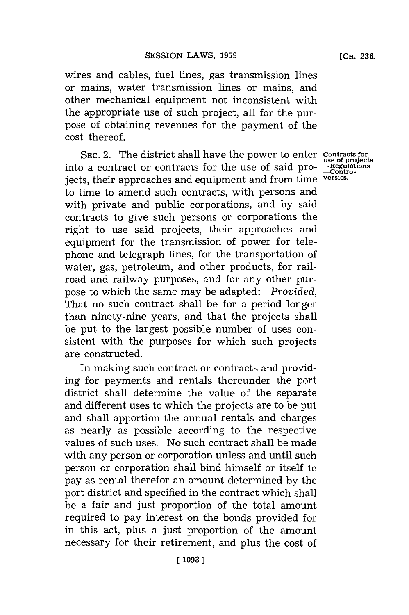**(CH. 236.**

wires and cables, fuel lines, gas transmission lines or mains, water transmission lines or mains, and other mechanical equipment not inconsistent with the appropriate use of such project, all for the purpose of obtaining revenues for the payment of the cost thereof.

SEC. 2. The district shall have the power to enter contracts for<br>a contract or contracts for the use of said pro- --Regulations into a contract or contracts for the use of said projects, their approaches and equipment and from time **versies.** to time to amend such contracts, with persons and with private and public corporations, and **by** said contracts to give such persons or corporations the right to use said projects, their approaches and equipment for the transmission of power for telephone and telegraph lines, for the transportation of water, gas, petroleum, and other products, for railroad and railway purposes, and for any other purpose to which the same may be adapted: *Provided,* That no such contract shall be for a period longer than ninety-nine years, and that the projects shall be put to the largest possible number of uses consistent with the purposes for which such projects are constructed.

In making such contract or contracts and providing for payments and rentals thereunder the port district shall determine the value of the separate and different uses to which the projects are to be put and shall apportion the annual rentals and charges as nearly as possible according to the respective values of such uses. No such contract shall be made with any person or corporation unless and until such person or corporation shall bind himself or itself to pay as rental therefor an amount determined **by** the port district and specified in the contract which shall be a fair and just proportion of the total amount required to pay interest on the bonds provided for in this act, plus a just proportion of the amount necessary for their retirement, and plus the cost of

**-Contro-**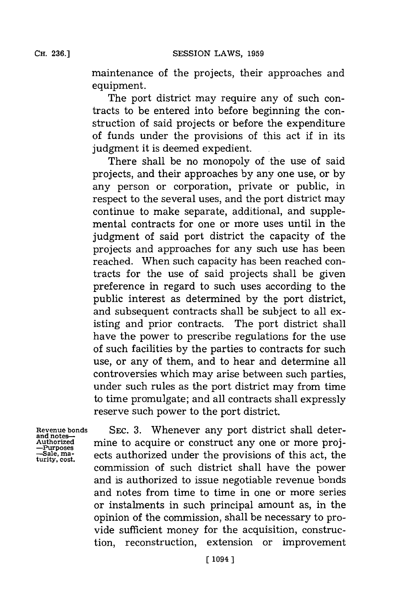**CH. 236.]**

maintenance of the projects, their approaches and equipment.

The port district may require any of such contracts to be entered into before beginning the construction of said projects or before the expenditure of funds under the provisions of this act if in its judgment it is deemed expedient.

There shall be no monopoly of the use of said projects, and their approaches **by** any one use, or **by** any person or corporation, private or public, in respect to the several uses, and the port district may continue to make separate, additional, and supplemental contracts for one or more uses until in the judgment of said port district the capacity of the projects and approaches for any such use has been reached. When such capacity has been reached contracts for the use of said projects shall be given preference in regard to such uses according to the public interest as determined **by** the port district, and subsequent contracts shall be subject to all existing and prior contracts. The port district shall have the power to prescribe regulations for the use of such facilities **by** the parties to contracts for such use, or any of them, and to hear and determine all controversies which may arise between such parties, under such rules as the port district may from time to time promulgate; and all contracts shall expressly reserve such power to the port district.

**Revenue bonds and notes-Authorized -upses -Sale, ma- turity. cost.**

SEC. **3.** Whenever any port district shall determine to acquire or construct any one or more projects authorized under the provisions of this act, the commission of such district shall have the power and is authorized to issue negotiable revenue bonds and notes from time to time in one or more series or instalments in such principal amount as, in the opinion of the commission, shall be necessary to provide sufficient money for the acquisition, construction, reconstruction, extension or improvement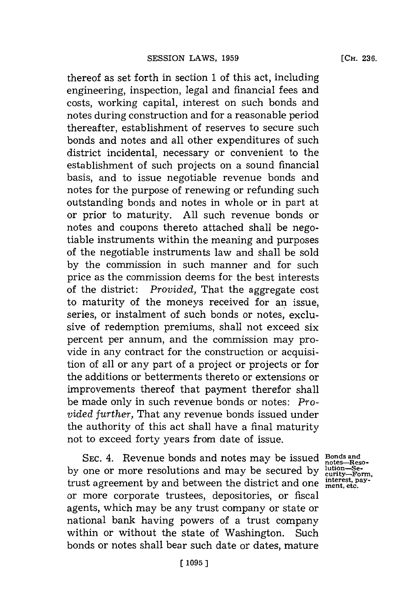thereof as set forth in section **1** of this act, including engineering, inspection, legal and financial fees and costs, working capital, interest on such bonds and notes during construction and for a reasonable period thereafter, establishment of reserves to secure such bonds and notes and all other expenditures of such district incidental, necessary or convenient to the establishment of such projects on a sound financial basis, and to issue negotiable revenue bonds and notes for the purpose of renewing or refunding such outstanding bonds and notes in whole or in part at or prior to maturity. **All** such revenue bonds or notes and coupons thereto attached shall be negotiable instruments within the meaning and purposes of the negotiable instruments law and shall be sold **by** the commission in such manner and for such price as the commission deems for the best interests of the district: *Provided,* That the aggregate cost to maturity of the moneys received for an issue, series, or instalment of such bonds or notes, exclusive of redemption premiums, shall not exceed six percent per annum, and the commission may provide in any contract for the construction or acquisition of all or any part of a project or projects or for the additions or betterments thereto or extensions or improvements thereof that payment therefor shall be made only in such revenue bonds or notes: Pro*vided further,* That any revenue bonds issued under the authority of this act shall have a final maturity not to exceed forty years from date of issue.

SEC. 4. Revenue bonds and notes may be issued **Bonds** and by one or more resolutions and may be secured by  $\frac{\text{lution}-\text{Se-}}{\text{curity}-\text{Form}}$ <br>trust agreement by and between the district and one interest, paytrust agreement **by** and between the district and one **mnet, pay**or more corporate trustees, depositories, or fiscal agents, which may be any trust company or state or national bank having powers of a trust company within or without the state of Washington. Such bonds or notes shall bear such date or dates, mature

notes-Reso-<br>
lution-Se-<br>
curity-Form,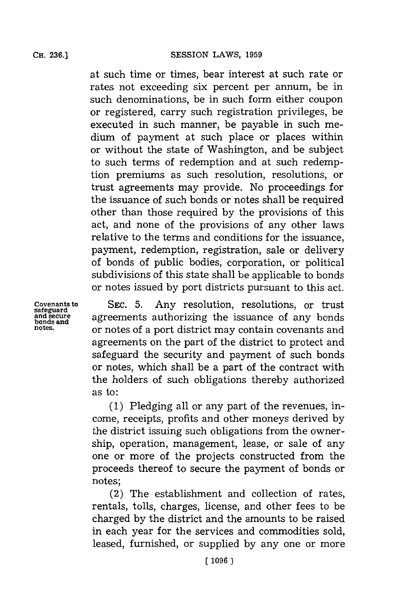at such time or times, bear interest at such rate or rates not exceeding six percent per annum, be in such denominations, be in such form either coupon or registered, carry such registration privileges, be executed in such manner, be payable in such medium of payment at such place or places within or without the state of Washington, and be subject to such terms of redemption and at such redemption premiums as such resolution, resolutions, or trust agreements may provide. No proceedings for the issuance of such bonds or notes shall be required other than those required **by** the provisions of this act, and none of the provisions of any other laws relative to the terms and conditions for the issuance, payment, redemption, registration, sale or delivery of bonds of public bodies, corporation, or political subdivisions of this state shall be applicable to bonds or notes issued **by** port districts pursuant to this act.

**covenants to** SEC. 5. Any resolution, resolutions, or trust safeguard agreements authorizing the issuance of any bonds and secure and secure **agreements** authorizing the issuance of any bonds and secure are notes and **bonds** bonds and **are used** and **area** used in the area used in the area used in the area units and  $\alpha$ **notes.** or notes of a port district may contain covenants and agreements on the part of the district to protect and safeguard the security and payment of such bonds or notes, which shall be a part of the contract with the holders of such obligations thereby authorized as to:

> **(1)** Pledging all or any part of the revenues, income, receipts, profits and other moneys derived **by** the district issuing-such obligations from the ownership, operation, management, lease, or sale of any one or more of the projects constructed from the proceeds thereof to secure the payment of bonds or notes;

> (2) The establishment and collection of rates, rentals, tolls, charges, license, and other fees to be charged **by** the district and the amounts to be raised in each year for the services and commodities sold, leased, furnished, or supplied **by** any one or more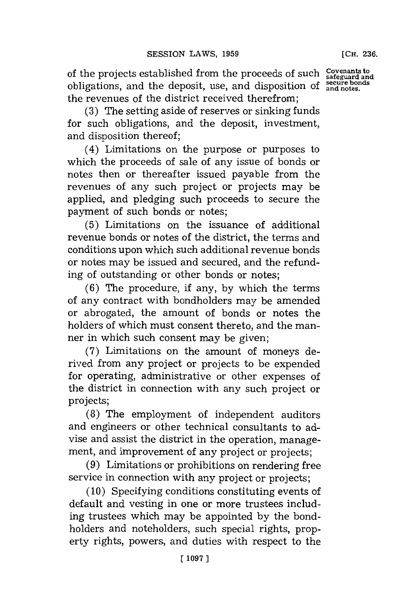of the projects established from the proceeds of such Covenants to obligations, and the deposit, use, and disposition of **and notes**. the revenues of the district received therefrom;

**(3)** The setting aside of reserves or sinking funds for such obligations, and the deposit, investment, and disposition thereof;

(4) Limitations on the purpose or purposes to which the proceeds of sale of any issue of bonds or notes then or thereafter issued payable from the revenues of any such project or projects may be applied, and pledging such proceeds to secure the payment of such bonds or notes;

**(5)** Limitations on the issuance of additional revenue bonds or notes of the district, the terms and conditions upon which such additional revenue bonds or notes may be issued and secured, and the refunding of outstanding or other bonds or notes;

**(6)** The procedure, if any, **by** which the terms of any contract with bondholders may be amended or abrogated, the amount of bonds or notes the holders of which must consent thereto, and the manner in which such consent may be given;

**(7)** Limitations on the amount of moneys derived from any project or projects to be expended for operating, administrative or other expenses of the district in connection with any such project or projects;

**(8)** The employment of independent auditors and engineers or other technical consultants to advise and assist the district in the operation, management, and improvement of any project or projects;

**(9)** Limitations or prohibitions on rendering free service in connection with any project or projects;

**(10)** Specifying conditions constituting events of default and vesting in one or more trustees including trustees which may be appointed **by** the bondholders and noteholders, such special rights, property rights, powers, and duties with respect to the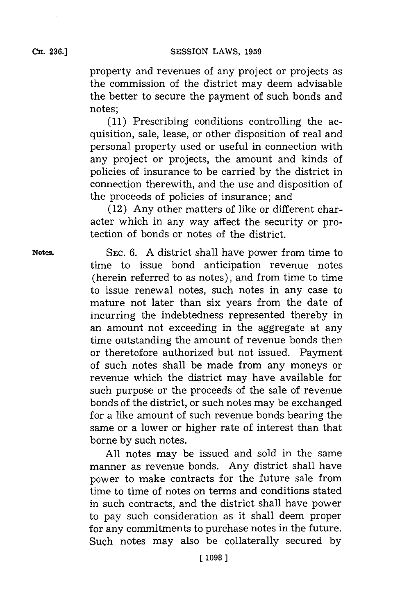property and revenues of any project or projects as the commission of the district may deem advisable the better to secure the payment of such bonds and notes;

**(11)** Prescribing conditions controlling the acquisition, sale, lease, or other disposition of real and personal property used or useful in connection with any project or projects, the amount and kinds of policies of insurance to be carried **by** the district in connection therewith, and the use and disposition of the proceeds of policies of insurance; and

(12) Any other matters of like or different character which in any way affect the security or protection of bonds or notes of the district.

**Notes. SEC. 6. A** district shall have power from time to time to issue bond anticipation revenue notes (herein referred to as notes), and from time to time to issue renewal notes, such notes in any case to mature not later than six years from the date of incurring the indebtedness represented thereby in an amount not exceeding in the aggregate at any time outstanding the amount of revenue bonds then or theretofore authorized but not issued. Payment of such notes shall be made from any moneys or revenue which the district may have available for such purpose or the proceeds of the sale of revenue bonds of the district, or such notes may be exchanged **for** a like amount of such revenue bonds bearing the same or a lower or higher rate of interest than that borne **by** such notes.

> **All** notes may be issued and sold in the same manner as revenue bonds. Any district shall have power to make contracts for the future sale from time to time of notes on terms and conditions stated in such contracts, and the district shall have power to pay such consideration as it shall deem proper for any commitments to purchase notes in the future. Such notes may also be collaterally secured **by**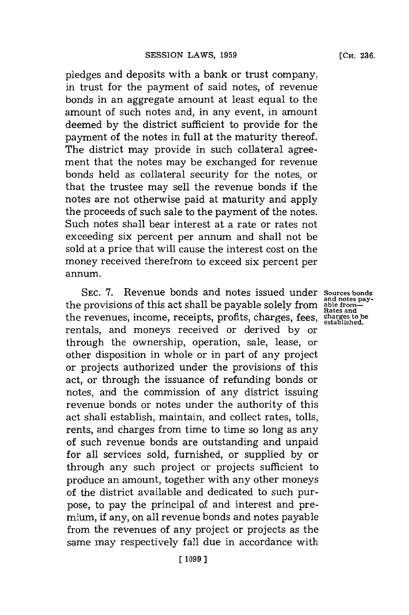pledges and deposits with a bank or trust company, in trust for the payment of said notes, of revenue bonds in an aggregate amount at least equal to the amount of such notes and, in any event, in amount deemed **by** the district sufficient to provide for the payment of the notes in full at the maturity thereof. The district may provide in such collateral agreement that the notes may be exchanged for revenue bonds held as collateral security for the notes, or that the trustee may sell the revenue bonds if the notes are not otherwise paid at maturity and apply the proceeds of such sale to the payment of the notes. Such notes shall bear interest at a rate or rates not exceeding six percent per annum and shall not be sold at a price that will cause the interest cost on the money received therefrom to exceed six percent per annum.

SEC. 7. Revenue bonds and notes issued under sources bonds the provisions of this act shall be payable solely from the revenues, income, receipts, profits, charges, fees, **charges to be established.** rentals, and moneys received or derived **by** or through the ownership, operation, sale, lease, or other disposition in whole or in part of any project or projects authorized under the provisions of this act, or through the issuance of refunding bonds or notes, and the commission of any district issuing revenue bonds or notes under the authority of this act shall establish, maintain, and collect rates, tolls, rents, and charges from time to time so long as any of such revenue bonds are outstanding and unpaid for all services sold, furnished, or supplied **by** or through any such project or projects sufficient to produce an amount, together with any other moneys of the district available and dedicated to such purpose, to pay the principal of and interest and premium, **if** any, on all revenue bonds and notes payable from the revenues of any project or projects as the same may respectively fall due in accordance with

**and notes pay- able fromn-Rates and**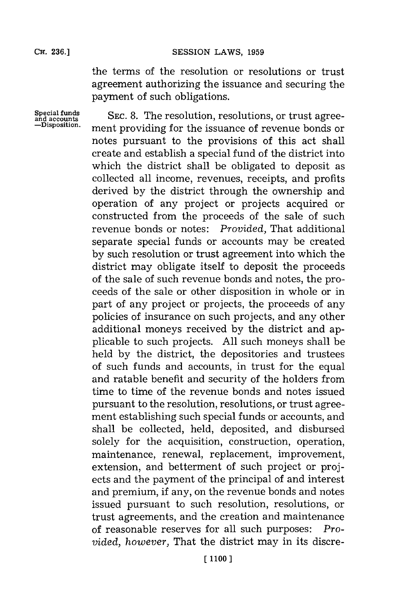**SESSION LAWS, 1959** 

the terms of the resolution or resolutions or trust agreement authorizing the issuance and securing the payment of such obligations.

**Special funds and accounts -Disposition.**

**SEC. 8.** The resolution, resolutions, or trust agreement providing for the issuance of revenue bonds or notes pursuant to the provisions of this act shall create and establish a special fund of the district into which the district shall be obligated to deposit as collected all income, revenues, receipts, and profits derived **by** the district through the ownership and operation of any project or projects acquired or constructed from the proceeds of the sale of such revenue bonds or notes: *Provided,* That additional separate special funds or accounts may be created **by** such resolution or trust agreement into which the district may obligate itself to deposit the proceeds of the sale of such revenue bonds and notes, the proceeds of the sale or other disposition in whole or in part of any project or projects, the proceeds of any policies of insurance on such projects, and any other additional moneys received **by** the district and applicable to such projects. **All** such moneys shall be held **by** the district, the depositories and trustees of such funds and accounts, in trust for the equal and ratable benefit and security of the holders from time to time of the revenue bonds and notes issued pursuant to the resolution, resolutions, or trust agreement establishing such special funds or accounts, and shall be collected, held, deposited, and disbursed solely for the acquisition, construction, operation, maintenance, renewal, replacement, improvement, extension, and betterment of such project or projects and the payment of the principal of and interest and premium, if any, on the revenue bonds and notes issued pursuant to such resolution, resolutions, or trust agreements, and the creation and maintenance of reasonable reserves for all such purposes: *Provided, however,* That the district may in its discre-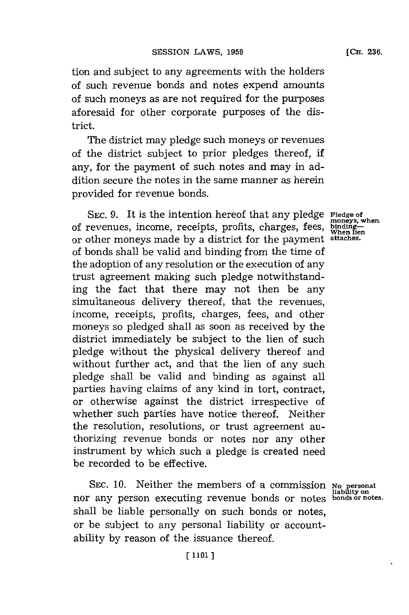tion and subject to any agreements with the holders of such revenue bonds and notes expend amounts of such moneys as are not required for the purposes aforesaid for other corporate purposes of the district.

The district may pledge such moneys or revenues of the district subject to prior pledges thereof, if any, for the payment of such notes and may in addition secure the notes in the same manner as herein provided for revenue bonds.

SEC. 9. It is the intention hereof that any pledge **Pledge** of of revenues, income, receipts, profits, charges, fees, or other moneys made **by** a district for the payment **attaches.** of bonds shall be valid and binding from the time of the adoption of any resolution or the execution of any trust agreement making such pledge notwithstanding the fact that there may not then be any simultaneous delivery thereof, that the revenues, income, receipts, profits, charges, fees, and other moneys so pledged shall as soon as received **by** the district immediately be subject to the lien of such pledge without the physical delivery thereof and without further act, and that the lien of any such pledge shall be valid and binding as against all parties having claims of any kind in tort, contract, or otherwise against the district irrespective of whether such parties have notice thereof. Neither the resolution, resolutions, or trust agreement authorizing revenue bonds or notes nor any other instrument **by** which such a pledge is created need be recorded to be effective.

**SEC. 10.** Neither the members of a commission SEC. 10. Neither the members of a commission No personal<br>nor any person executing revenue bonds or notes bonds or notes shall be liable personally on such bonds or notes, or be subject to any personal liability or accountability **by** reason of the issuance thereof.

**moneys, when, bindin**binding—<br>When lien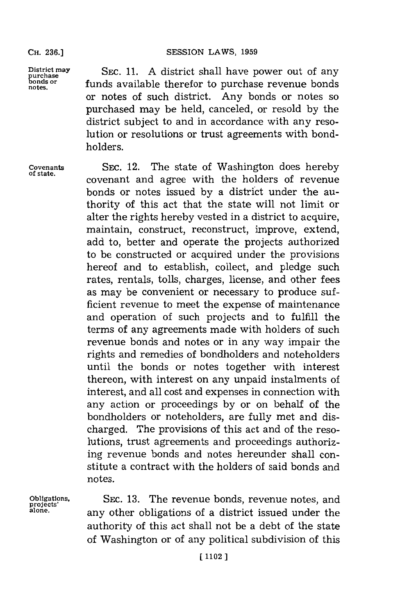SESSION LAWS, 1959

District may **SEC. 11.** A district shall have power out of any purchase<br>bonds or **funds** evoluable thangfor to purchase povenue bonds **bonds** or **funds** available therefor to purchase revenue bonds or notes of such district. Any bonds or notes so purchased may be held, canceled, or resold **by** the district subject to and in accordance with any resolution or resolutions or trust agreements with bondholders.

Covenants SEC. 12. The state of Washington does hereby covenant and agree with the holders of revenue bonds or notes issued **by** a district under the authority of this act that the state will not limit or alter the rights hereby vested in a district to acquire, maintain, construct, reconstruct, improve, extend, add to, better and operate the projects authorized to be constructed or acquired under the provisions hereof and to establish, collect, and pledge such rates, rentals, tolls, charges, license, and other fees as may be convenient or necessary to produce sufficient revenue to meet the expense of maintenance and operation of such projects and to fulfill the terms of any agreements made with holders of such revenue bonds and notes or in any way impair the rights and remedies of bondholders and noteholders until the bonds or notes together with interest thereon, with interest on any unpaid instalments of interest, and all cost and expenses in connection with any action or proceedings **by** or on behalf of the bondholders or noteholders, are fully met and discharged. The provisions of this act and of the resolutions, trust agreements and proceedings authorizing revenue bonds and notes hereunder shall constitute a contract with the holders of said bonds and notes.

**pojeigtios,** SEC. **13.** The revenue bonds, revenue notes, and **alone,** any other obligations of a district issued under the authority of this act shall not be a debt of the state of Washington or of any political subdivision of this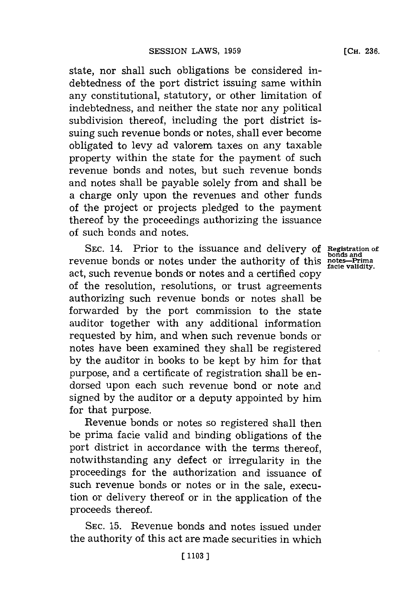state, nor shall such obligations be considered indebtedness of the port district issuing same within any constitutional, statutory, or other limitation of indebtedness, and neither the state nor any political subdivision thereof, including the port district issuing such revenue bonds or notes, shall ever become obligated to levy ad valorem taxes on any taxable property within the state for the payment of such revenue bonds and notes, but such revenue bonds and notes shall be payable solely from and shall be a charge only upon the revenues and other funds of the project or projects pledged to the payment thereof **by** the proceedings authorizing the issuance of such bonds and notes.

SEC. 14. Prior to the issuance and delivery of Registration of **bonds** or notes under the authority of this notes-Prima<br> **postes-Prima facie validity** act, such revenue bonds or notes and a certified copy of the resolution, resolutions, or trust agreements authorizing such revenue bonds or notes shall be forwarded **by** the port commission to the state auditor together with any additional information requested **by** him, and when such revenue bonds or notes have been examined they shall be registered **by** the auditor in books to be kept **by** him for that purpose, and a certificate of registration shall be endorsed upon each such revenue bond or note and signed **by** the auditor or a deputy appointed **by** him for that purpose.

Revenue bonds or notes so registered shall then be prima facie valid and binding obligations of the port district in accordance with the terms thereof, notwithstanding any defect or irregularity in the proceedings for the authorization and issuance of such revenue bonds or notes or in the sale, execution or delivery thereof or in the application of the proceeds thereof.

**SEC. 15.** Revenue bonds and notes issued under the authority of this act are made securities in which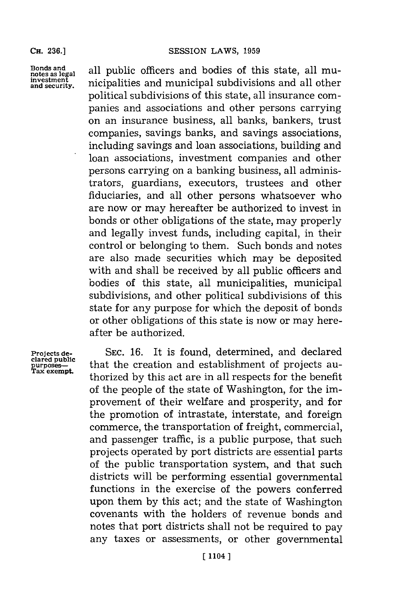Bonds and all public officers and bodies of this state, all mu**notes as legal** alpublic ofcr n oiso hssae l u **investment** nicipalities n municipal subdivisionsanalote **and security.** n n l te political subdivisions of this state, all insurance companies and associations and other persons carrying on an insurance business, all banks, bankers, trust companies, savings banks, and savings associations, including savings and loan associations, building and loan associations, investment companies and other persons carrying on a banking business, all administrators, guardians, executors, trustees and other fiduciaries, and all other persons whatsoever who are now or may hereafter be authorized to invest in bonds or other obligations of the state, may properly and legally invest funds, including capital, in their control or belonging to them. Such bonds and notes are also made securities which may be deposited with and shall be received **by** all public officers and bodies of this state, all municipalities, municipal subdivisions, and other political subdivisions of this state for any purpose for which the deposit of bonds or other obligations of this state is now or may hereafter be authorized.

Projects de-<br>clared public<br>purposes—<br>Tax exempt.

SEC. 16. It is found, determined, and declared **purposes-** that the creation and establishment of projects au-**Tax exempt.** thorized **by** this act are in all respects for the benefit of the people of the state of Washington, for the improvement of their welfare and prosperity, and for the promotion of intrastate, interstate, and foreign commerce, the transportation of freight, commercial, and passenger traffic, is a public purpose, that such projects operated **by** port districts are essential parts of the public transportation system, and that such districts will be performing essential governmental functions in the exercise of the powers conferred upon them **by** this act; and the state of Washington covenants with the holders of revenue bonds and notes that port districts shall not be required to pay any taxes or assessments, or other governmental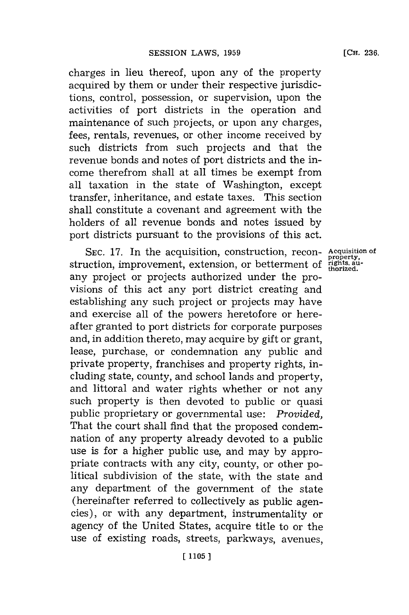charges in lieu thereof, upon any of the property acquired **by** them or under their respective jurisdictions, control, possession, or supervision, upon the activities of port districts in the operation and maintenance of such projects, or upon any charges, fees, rentals, revenues, or other income received **by** such districts from such projects and that the revenue bonds and notes of port districts and the income therefrom shall at all times be exempt from all taxation in the state of Washington, except transfer, inheritance, and estate taxes. This section shall constitute a covenant and agreement with the holders of all revenue bonds and notes issued **by** port districts pursuant to the provisions of this act.

SEC. 17. In the acquisition, construction, recon- Acquisition of struction, improvement, extension, or betterment of *rights*, au-<br>struction, improvement, extension, or betterment of *rights*, auany project or projects authorized under the provisions of this act any port district creating and establishing any such project or projects may have and exercise all of the powers heretofore or hereafter granted to port districts for corporate purposes and, in addition thereto, may acquire **by** gift or grant, lease, purchase, or condemnation any public and private property, franchises and property rights, including state, county, and school lands and property, and littoral and water rights whether or not any such property is then devoted to public or quasi public proprietary or governmental use: *Provided,* That the court shall find that the proposed condemnation of any property already devoted to a public use is for a higher public use, and may **by** appropriate contracts with any city, county, or other political subdivision of the state, with the state and any department of the government of the state (hereinafter referred to collectively as public agencies), or with any department, instrumentality or agency of the United States, acquire title to or the use of existing roads, streets, parkways, avenues,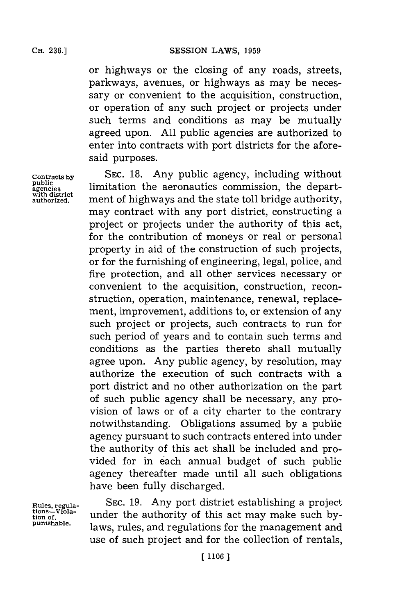or highways or the closing of any roads, streets, parkways, avenues, or highways as may be necessary or convenient to the acquisition, construction, or operation of any such project or projects under such terms and conditions as may be mutually agreed upon. **All** public agencies are authorized to enter into contracts with port districts for the aforesaid purposes.

**Contracts by** SEc. **18.** Any public agency, including without public<br>agencies **limitation the aeronautics commission**, the depart-<br>with district ment of highways and the state toll bridge authority. ment of highways and the state toll bridge authority, may contract with any port district, constructing a project or projects under the authority of this act, for the contribution of moneys or real or personal property in aid of the construction of such projects, or for the furnishing of engineering, legal, police, and fire protection, and all other services necessary or convenient to the acquisition, construction, reconstruction, operation, maintenance, renewal, replacement, improvement, additions to, or extension of any such project or projects, such contracts to run for such period of years and to contain such terms and conditions as the parties thereto shall mutually agree upon. Any public agency, **by** resolution, may authorize the execution of such contracts with a port district and no other authorization on the part of such public agency shall be necessary, any provision of laws or of a city charter to the contrary notwithstanding. Obligations assumed **by** a public agency pursuant to such contracts entered into under the authority of this act shall be included and provided for in each annual budget of such public agency thereafter made until all such obligations have been fully discharged.

**Rules, regula- SEC. 19.** Any port district establishing a project tions—Viola- under the authority of this act may make such by**punishable,** laws, rules, and regulations for the management and use of such project and for the collection of rentals,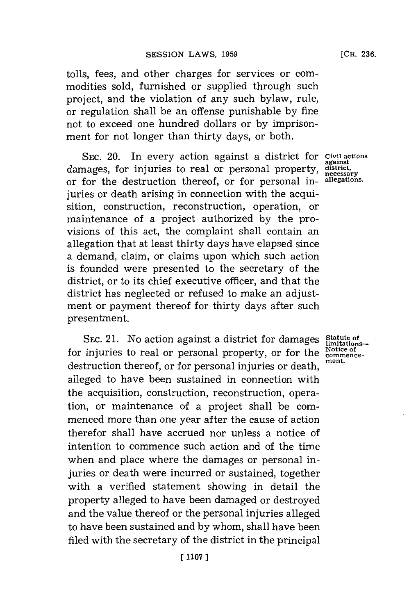tolls, fees, and other charges for services or commodities sold, furnished or supplied through such project, and the violation of any such bylaw, rule, or regulation shall be an offense punishable **by** fine not to exceed one hundred dollars or **by** imprisonment for not longer than thirty days, or both.

**SEC.** 20. In every action against a district for **Civil actions** damages, for injuries to real or personal property, district. or for the destruction thereof, or for personal in- **allegations.** juries or death arising in connection with the acquisition, construction, reconstruction, operation, or maintenance of a project authorized **by** the provisions of this act, the complaint shall contain an allegation that at least thirty days have elapsed since a demand, claim, or claims upon which such action is founded were presented to the secretary of the district, or to its chief executive officer, and that the district has neglected or refused to make an adjustment or payment thereof for thirty days after such presentment.

**SEC. 21.** No action against a district for damages for injuries to real or personal property, or for the  $\frac{\text{Notice of}}{\text{moment}}$ destruction thereof, or for personal injuries or death, **ment.** alleged to have been sustained in connection with the acquisition, construction, reconstruction, operation, or maintenance of a project shall be commenced more than one year after the cause of action therefor shall have accrued nor unless a notice of intention to commence such action and of the time when and place where the damages or personal injuries or death were incurred or sustained, together with a verified statement showing in detail the property alleged to have been damaged or destroyed and the value thereof or the personal injuries alleged to have been sustained and **by** whom, shall have been filed with the secretary of the district in the principal

**Statute of<br>limitations**<br>Notice of